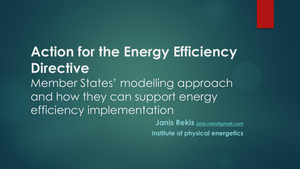# **Action for the Energy Efficiency Directive** Member States' modelling approach and how they can support energy efficiency implementation

**Janis Rekis [janis.rekis@gmail.com](mailto:janis.rekis@gmail.com) Institute of physical energetics**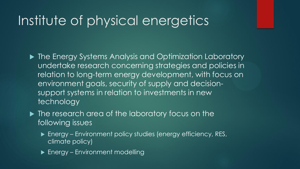#### Institute of physical energetics

▶ The Energy Systems Analysis and Optimization Laboratory undertake research concerning strategies and policies in relation to long-term energy development, with focus on environment goals, security of supply and decisionsupport systems in relation to investments in new technology

- $\blacktriangleright$  The research area of the laboratory focus on the following issues
	- ▶ Energy Environment policy studies (energy efficiency, RES, climate policy)
	- **Energy Environment modelling**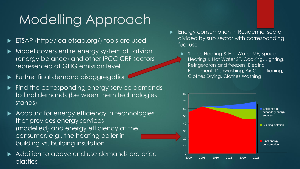# Modelling Approach

- ETSAP (http://iea-etsap.org/) tools are used
- Model covers entire energy system of Latvian (energy balance) and other IPCC CRF sectors represented at GHG emission level
- Further final demand disaggregation
- Find the corresponding energy service demands to final demands (between them technologies stands)
- Account for energy efficiency in technologies that provides energy services (modelled) and energy efficiency at the consumer, e.g., the heating boiler in building vs. building insulation
- Addition to above end use demands are price elastics
- Energy consumption in Residential sector divided by sub sector with corresponding fuel use
	- Space Heating & Hot Water MF, Space Heating & Hot Water SF, Cooking, Lighting, Refrigerators and freezers, Electric Equipment, Dishwashing, Air Conditioning, Clothes Drying, Clothes Washing

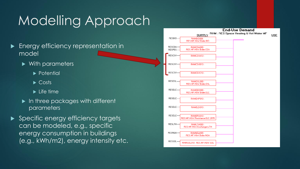# Modelling Approach

- Energy efficiency representation in model
	- **Nith parameters** 
		- ▶ Potential
		- $\triangleright$  Costs
		- $\blacktriangleright$  Life time
	- In three packages with different parameters
- ▶ Specific energy efficiency targets can be modeled, e.g., specific energy consumption in buildings (e.g., kWh/m2), energy intensity etc.

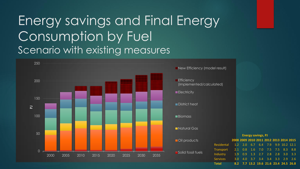#### Energy savings and Final Energy Consumption by Fuel Scenario with existing measures



|                                              |  |  |  |                                   | 2008 2009 2010 2011 2012 2013 2014 2015 |
|----------------------------------------------|--|--|--|-----------------------------------|-----------------------------------------|
| Residental 1.2 2.0 6.7 6.4 7.9 9.9 10.2 12.1 |  |  |  |                                   |                                         |
| Transport 2.1 0.8 1.6 7.0 7.5 7.5 8.3 8.8    |  |  |  |                                   |                                         |
| Industry                                     |  |  |  | 1.9 0.9 1.3 2.7 2.8 2.8 3.0 3.3   |                                         |
| <b>Services</b>                              |  |  |  | $3.0$ 4.0 3.7 3.4 3.4 3.3 2.9 2.6 |                                         |
| <b>Total</b>                                 |  |  |  |                                   | 8.2 7.7 13.2 19.6 21.6 23.4 24.5 26.8   |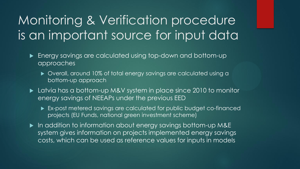## Monitoring & Verification procedure is an important source for input data

- **Energy savings are calculated using top-down and bottom-up** approaches
	- ▶ Overall, around 10% of total energy savings are calculated using a bottom-up approach
- **Latvia has a bottom-up M&V system in place since 2010 to monitor** energy savings of NEEAPs under the previous EED
	- Ex-post metered savings are calculated for public budget co-financed projects (EU Funds, national green investment scheme)
- ▶ In addition to information about energy savings bottom-up M&E system gives information on projects implemented energy savings costs, which can be used as reference values for inputs in models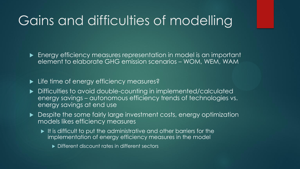### Gains and difficulties of modelling

**Energy efficiency measures representation in model is an important** element to elaborate GHG emission scenarios – WOM, WEM, WAM

#### ► Life time of energy efficiency measures?

- Difficulties to avoid double-counting in implemented/calculated energy savings – autonomous efficiency trends of technologies vs. energy savings at end use
- ▶ Despite the some fairly large investment costs, energy optimization models likes efficiency measures
	- It is difficult to put the administrative and other barriers for the implementation of energy efficiency measures in the model
		- ▶ Different discount rates in different sectors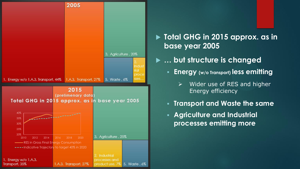

 **Total GHG in 2015 approx. as in base year 2005**

#### **… but structure is changed**

- **Energy (w/o Transport) less emitting**
	- $\triangleright$  Wider use of RES and higher Energy efficiency
- **Transport and Waste the same**
- **Agriculture and Industrial processes emitting more**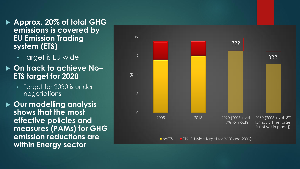**Approx. 20% of total GHG emissions is covered by EU Emission Trading system (ETS)**

- Target is EU wide
- **On track to achieve No – ETS target for 2020**
	- Target for 2030 is under negotiations
- **Our modelling analysis shows that the most effective policies and measures (PAMs) for GHG emission reductions are within Energy sector**

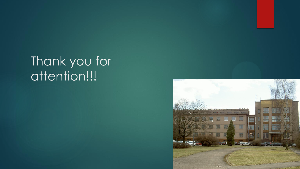## Thank you for attention!!!